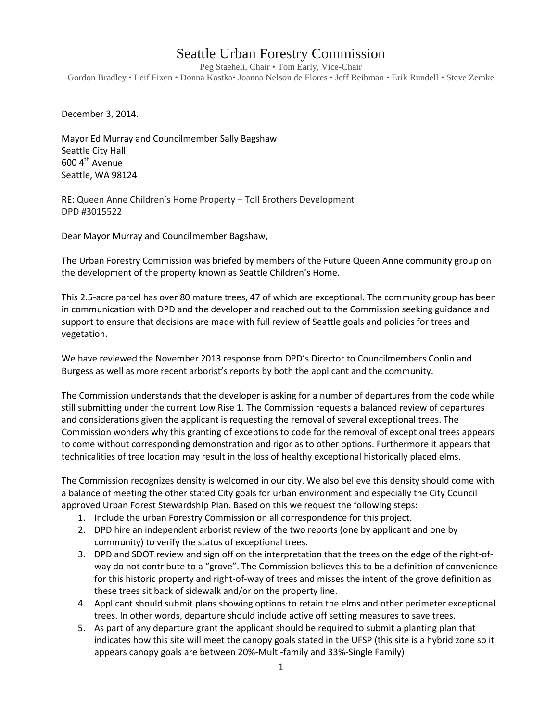## Seattle Urban Forestry Commission

Peg Staeheli, Chair • Tom Early, Vice-Chair Gordon Bradley • Leif Fixen • Donna Kostka• Joanna Nelson de Flores • Jeff Reibman • Erik Rundell • Steve Zemke

December 3, 2014.

Mayor Ed Murray and Councilmember Sally Bagshaw Seattle City Hall  $600$  4<sup>th</sup> Avenue Seattle, WA 98124

RE: Queen Anne Children's Home Property – Toll Brothers Development DPD #3015522

Dear Mayor Murray and Councilmember Bagshaw,

The Urban Forestry Commission was briefed by members of the Future Queen Anne community group on the development of the property known as Seattle Children's Home.

This 2.5-acre parcel has over 80 mature trees, 47 of which are exceptional. The community group has been in communication with DPD and the developer and reached out to the Commission seeking guidance and support to ensure that decisions are made with full review of Seattle goals and policies for trees and vegetation.

We have reviewed the November 2013 response from DPD's Director to Councilmembers Conlin and Burgess as well as more recent arborist's reports by both the applicant and the community.

The Commission understands that the developer is asking for a number of departures from the code while still submitting under the current Low Rise 1. The Commission requests a balanced review of departures and considerations given the applicant is requesting the removal of several exceptional trees. The Commission wonders why this granting of exceptions to code for the removal of exceptional trees appears to come without corresponding demonstration and rigor as to other options. Furthermore it appears that technicalities of tree location may result in the loss of healthy exceptional historically placed elms.

The Commission recognizes density is welcomed in our city. We also believe this density should come with a balance of meeting the other stated City goals for urban environment and especially the City Council approved Urban Forest Stewardship Plan. Based on this we request the following steps:

- 1. Include the urban Forestry Commission on all correspondence for this project.
- 2. DPD hire an independent arborist review of the two reports (one by applicant and one by community) to verify the status of exceptional trees.
- 3. DPD and SDOT review and sign off on the interpretation that the trees on the edge of the right-ofway do not contribute to a "grove". The Commission believes this to be a definition of convenience for this historic property and right-of-way of trees and misses the intent of the grove definition as these trees sit back of sidewalk and/or on the property line.
- 4. Applicant should submit plans showing options to retain the elms and other perimeter exceptional trees. In other words, departure should include active off setting measures to save trees.
- 5. As part of any departure grant the applicant should be required to submit a planting plan that indicates how this site will meet the canopy goals stated in the UFSP (this site is a hybrid zone so it appears canopy goals are between 20%-Multi-family and 33%-Single Family)